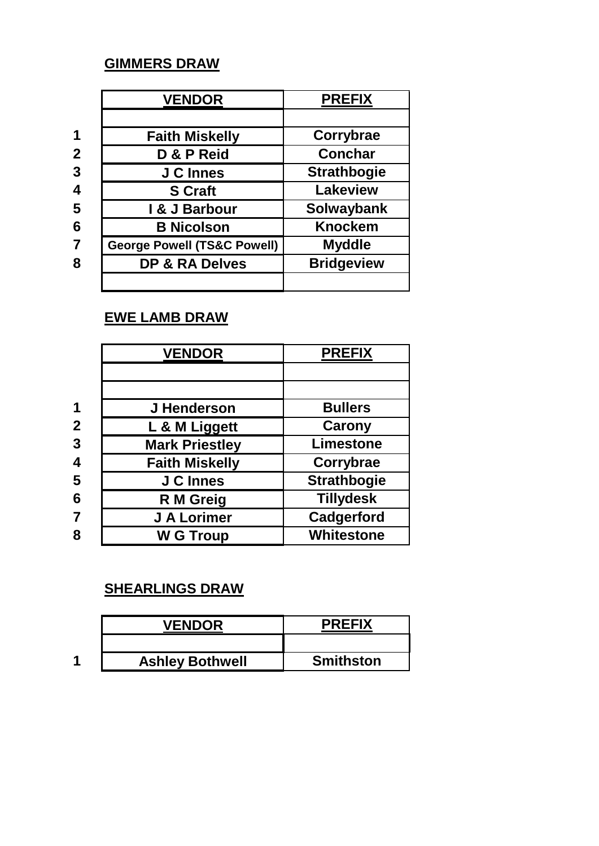## **GIMMERS DRAW**

|                         | <b>VENDOR</b>                          | <b>PREFIX</b>      |
|-------------------------|----------------------------------------|--------------------|
|                         |                                        |                    |
|                         | <b>Faith Miskelly</b>                  | Corrybrae          |
| $\mathbf{2}$            | D & P Reid                             | <b>Conchar</b>     |
| 3                       | <b>J C Innes</b>                       | <b>Strathbogie</b> |
| 4                       | <b>S</b> Craft                         | <b>Lakeview</b>    |
| 5                       | I & J Barbour                          | <b>Solwaybank</b>  |
| 6                       | <b>B Nicolson</b>                      | <b>Knockem</b>     |
| $\overline{\mathbf{7}}$ | <b>George Powell (TS&amp;C Powell)</b> | <b>Myddle</b>      |
| 8                       | <b>DP &amp; RA Delves</b>              | <b>Bridgeview</b>  |
|                         |                                        |                    |

## **EWE LAMB DRAW**

|                | <b>VENDOR</b>         | <b>PREFIX</b>      |
|----------------|-----------------------|--------------------|
|                |                       |                    |
|                |                       |                    |
|                | J Henderson           | <b>Bullers</b>     |
| $\mathbf 2$    | L & M Liggett         | <b>Carony</b>      |
| $\overline{3}$ | <b>Mark Priestley</b> | Limestone          |
|                | <b>Faith Miskelly</b> | Corrybrae          |
| 5              | <b>J C Innes</b>      | <b>Strathbogie</b> |
| 6              | R M Greig             | <b>Tillydesk</b>   |
|                | J A Lorimer           | Cadgerford         |
| 8              | <b>W G Troup</b>      | <b>Whitestone</b>  |

## **SHEARLINGS DRAW**

|   | <b>VENDOR</b>          | <b>PREFIX</b>    |
|---|------------------------|------------------|
|   |                        |                  |
| ◢ | <b>Ashley Bothwell</b> | <b>Smithston</b> |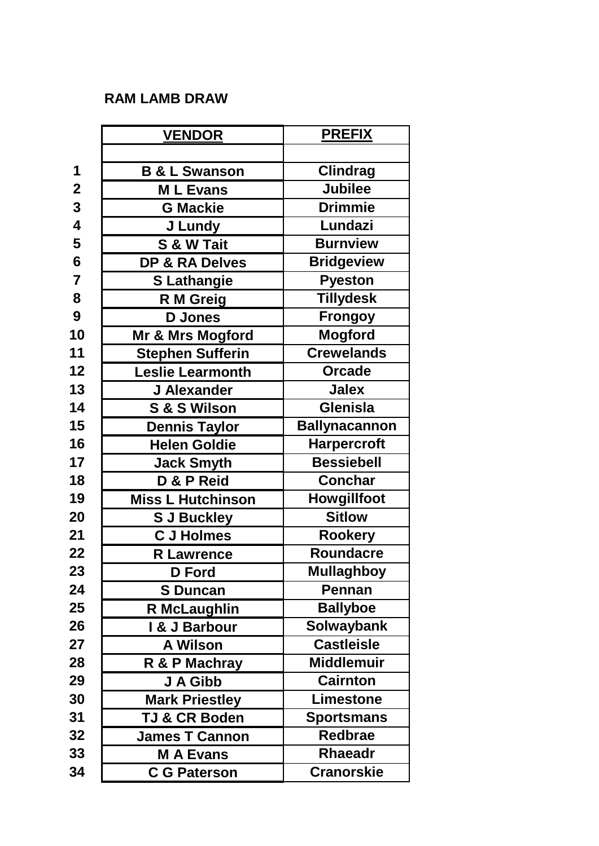## **RAM LAMB DRAW**

|                         | <b>VENDOR</b>            | <b>PREFIX</b>        |
|-------------------------|--------------------------|----------------------|
|                         |                          |                      |
| 1                       | <b>B &amp; L Swanson</b> | <b>Clindrag</b>      |
| $\overline{2}$          | <b>ML Evans</b>          | <b>Jubilee</b>       |
| $\overline{\mathbf{3}}$ | <b>G Mackie</b>          | <b>Drimmie</b>       |
| $\overline{\mathbf{4}}$ | J Lundy                  | Lundazi              |
| 5                       | S & W Tait               | <b>Burnview</b>      |
| $6\phantom{1}$          | DP & RA Delves           | <b>Bridgeview</b>    |
| $\overline{7}$          | <b>S Lathangie</b>       | <b>Pyeston</b>       |
| 8                       | R M Greig                | Tillydesk            |
| 9                       | <b>D</b> Jones           | <b>Frongoy</b>       |
| 10                      | Mr & Mrs Mogford         | <b>Mogford</b>       |
| 11                      | <b>Stephen Sufferin</b>  | <b>Crewelands</b>    |
| 12                      | <b>Leslie Learmonth</b>  | <b>Orcade</b>        |
| 13                      | J Alexander              | <b>Jalex</b>         |
| 14                      | S & S Wilson             | Glenisla             |
| 15                      | <b>Dennis Taylor</b>     | <b>Ballynacannon</b> |
| 16                      | <b>Helen Goldie</b>      | <b>Harpercroft</b>   |
| 17                      | <b>Jack Smyth</b>        | <b>Bessiebell</b>    |
| 18                      | D & P Reid               | <b>Conchar</b>       |
| 19                      | <b>Miss L Hutchinson</b> | Howgillfoot          |
| 20                      | <b>S J Buckley</b>       | <b>Sitlow</b>        |
| 21                      | <b>C J Holmes</b>        | <b>Rookery</b>       |
| 22                      | <b>R</b> Lawrence        | <b>Roundacre</b>     |
| 23                      | D Ford                   | <b>Mullaghboy</b>    |
| 24                      | <b>S</b> Duncan          | Pennan               |
| 25                      | <b>R McLaughlin</b>      | <b>Ballyboe</b>      |
| 26                      | I & J Barbour            | <b>Solwaybank</b>    |
| 27                      | <b>A Wilson</b>          | <b>Castleisle</b>    |
| 28                      | R & P Machray            | <b>Middlemuir</b>    |
| 29                      | J A Gibb                 | <b>Cairnton</b>      |
| 30                      | <b>Mark Priestley</b>    | <b>Limestone</b>     |
| 31                      | <b>TJ &amp; CR Boden</b> | <b>Sportsmans</b>    |
| 32                      | <b>James T Cannon</b>    | <b>Redbrae</b>       |
| 33                      | <b>M A Evans</b>         | <b>Rhaeadr</b>       |
| 34                      | <b>C G Paterson</b>      | <b>Cranorskie</b>    |